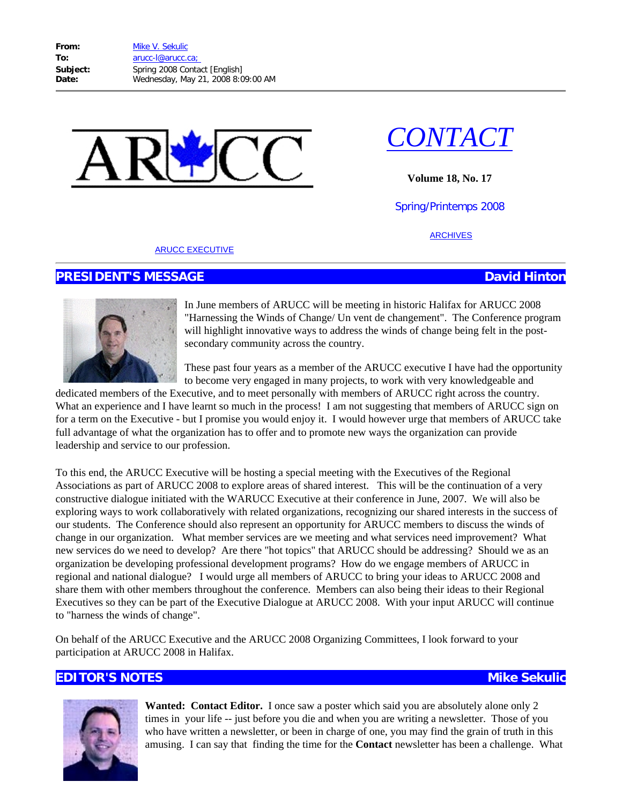



**Volume 18, No. 17**

Spring/Printemps 2008

[ARCHIVES](http://www.arucc.unb.ca/contact.htm)

#### [ARUCC EXECUTIVE](http://www.arucc.unb.ca/exec.htm)

# **PRESIDENT'S MESSAGE David Hinton**



In June members of ARUCC will be meeting in historic Halifax for ARUCC 2008 "Harnessing the Winds of Change/ Un vent de changement". The Conference program will highlight innovative ways to address the winds of change being felt in the postsecondary community across the country.

These past four years as a member of the ARUCC executive I have had the opportunity to become very engaged in many projects, to work with very knowledgeable and

dedicated members of the Executive, and to meet personally with members of ARUCC right across the country. What an experience and I have learnt so much in the process! I am not suggesting that members of ARUCC sign on for a term on the Executive - but I promise you would enjoy it. I would however urge that members of ARUCC take full advantage of what the organization has to offer and to promote new ways the organization can provide leadership and service to our profession.

To this end, the ARUCC Executive will be hosting a special meeting with the Executives of the Regional Associations as part of ARUCC 2008 to explore areas of shared interest. This will be the continuation of a very constructive dialogue initiated with the WARUCC Executive at their conference in June, 2007. We will also be exploring ways to work collaboratively with related organizations, recognizing our shared interests in the success of our students. The Conference should also represent an opportunity for ARUCC members to discuss the winds of change in our organization. What member services are we meeting and what services need improvement? What new services do we need to develop? Are there "hot topics" that ARUCC should be addressing? Should we as an organization be developing professional development programs? How do we engage members of ARUCC in regional and national dialogue? I would urge all members of ARUCC to bring your ideas to ARUCC 2008 and share them with other members throughout the conference. Members can also being their ideas to their Regional Executives so they can be part of the Executive Dialogue at ARUCC 2008. With your input ARUCC will continue to "harness the winds of change".

On behalf of the ARUCC Executive and the ARUCC 2008 Organizing Committees, I look forward to your participation at ARUCC 2008 in Halifax.

# **EDITOR'S NOTES Mike Sekulic Mike Sekulic Mike Sekulic**



**Wanted: Contact Editor.** I once saw a poster which said you are absolutely alone only 2 times in your life -- just before you die and when you are writing a newsletter. Those of you who have written a newsletter, or been in charge of one, you may find the grain of truth in this amusing. I can say that finding the time for the **Contact** newsletter has been a challenge. What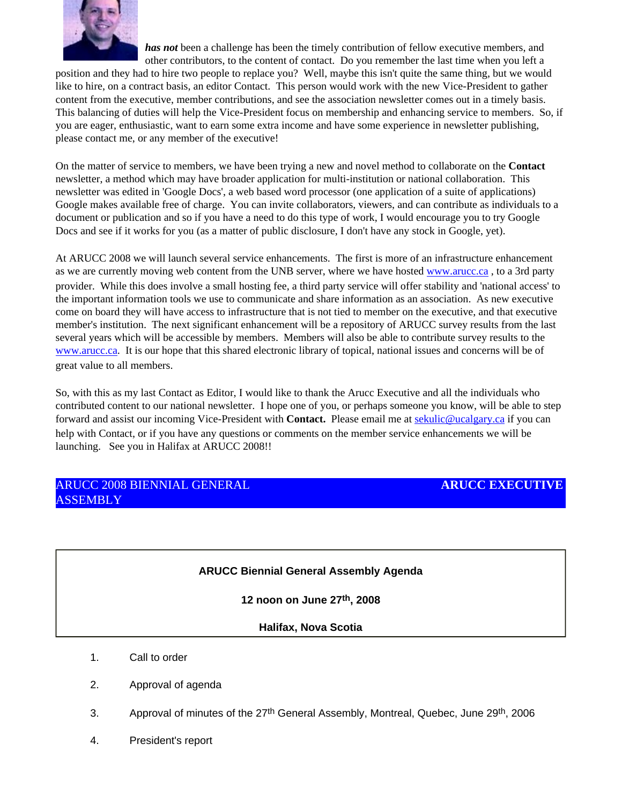

*has not* been a challenge has been the timely contribution of fellow executive members, and other contributors, to the content of contact. Do you remember the last time when you left a

position and they had to hire two people to replace you? Well, maybe this isn't quite the same thing, but we would like to hire, on a contract basis, an editor Contact. This person would work with the new Vice-President to gather content from the executive, member contributions, and see the association newsletter comes out in a timely basis. This balancing of duties will help the Vice-President focus on membership and enhancing service to members. So, if you are eager, enthusiastic, want to earn some extra income and have some experience in newsletter publishing, please contact me, or any member of the executive!

On the matter of service to members, we have been trying a new and novel method to collaborate on the **Contact** newsletter, a method which may have broader application for multi-institution or national collaboration. This newsletter was edited in 'Google Docs', a web based word processor (one application of a suite of applications) Google makes available free of charge. You can invite collaborators, viewers, and can contribute as individuals to a document or publication and so if you have a need to do this type of work, I would encourage you to try Google Docs and see if it works for you (as a matter of public disclosure, I don't have any stock in Google, yet).

At ARUCC 2008 we will launch several service enhancements. The first is more of an infrastructure enhancement as we are currently moving web content from the UNB server, where we have hosted www.arucc.ca, to a 3rd party provider. While this does involve a small hosting fee, a third party service will offer stability and 'national access' to the important information tools we use to communicate and share information as an association. As new executive come on board they will have access to infrastructure that is not tied to member on the executive, and that executive member's institution. The next significant enhancement will be a repository of ARUCC survey results from the last several years which will be accessible by members. Members will also be able to contribute survey results to the [www.arucc.ca.](http://www.arucc.ca/) It is our hope that this shared electronic library of topical, national issues and concerns will be of great value to all members.

So, with this as my last Contact as Editor, I would like to thank the Arucc Executive and all the individuals who contributed content to our national newsletter. I hope one of you, or perhaps someone you know, will be able to step forward and assist our incoming Vice-President with **Contact.** Please email me at [sekulic@ucalgary.ca](mailto:sekulic@ucalgary.ca) if you can help with Contact, or if you have any questions or comments on the member service enhancements we will be launching. See you in Halifax at ARUCC 2008!!

## ARUCC 2008 BIENNIAL GENERAL **ASSEMBLY**

## **ARUCC EXECUTIVE**

## **ARUCC Biennial General Assembly Agenda**

**12 noon on June 27th, 2008**

## **Halifax, Nova Scotia**

- 1. Call to order
- 2. Approval of agenda
- 3. Approval of minutes of the 27<sup>th</sup> General Assembly, Montreal, Quebec, June 29<sup>th</sup>, 2006
- 4. President's report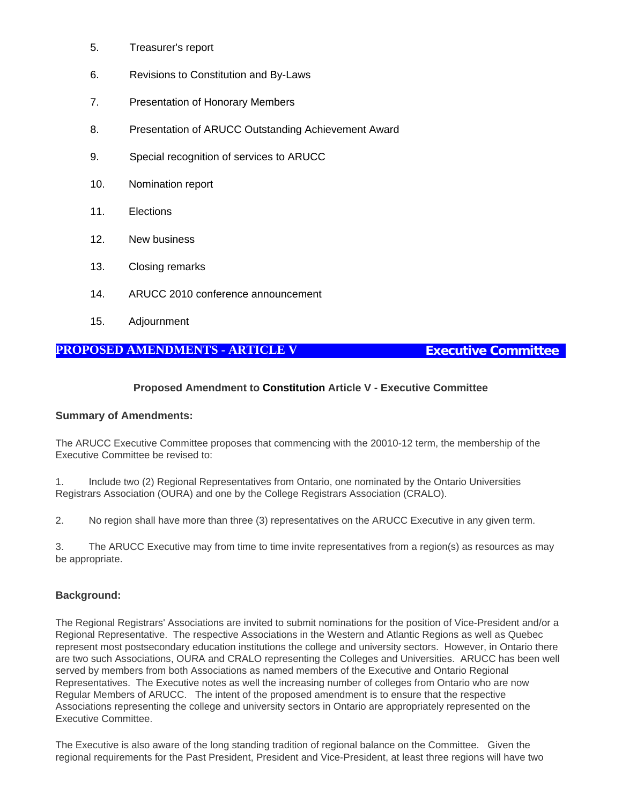- 5. Treasurer's report
- 6. Revisions to Constitution and By-Laws
- 7. Presentation of Honorary Members
- 8. Presentation of ARUCC Outstanding Achievement Award
- 9. Special recognition of services to ARUCC
- 10. Nomination report
- 11. Elections
- 12. New business
- 13. Closing remarks
- 14. ARUCC 2010 conference announcement
- 15. Adjournment

# **PROPOSED AMENDMENTS - ARTICLE V Executive Committee**

## **Proposed Amendment to Constitution Article V - Executive Committee**

## **Summary of Amendments:**

The ARUCC Executive Committee proposes that commencing with the 20010-12 term, the membership of the Executive Committee be revised to:

1. Include two (2) Regional Representatives from Ontario, one nominated by the Ontario Universities Registrars Association (OURA) and one by the College Registrars Association (CRALO).

2. No region shall have more than three (3) representatives on the ARUCC Executive in any given term.

3. The ARUCC Executive may from time to time invite representatives from a region(s) as resources as may be appropriate.

## **Background:**

The Regional Registrars' Associations are invited to submit nominations for the position of Vice-President and/or a Regional Representative. The respective Associations in the Western and Atlantic Regions as well as Quebec represent most postsecondary education institutions the college and university sectors. However, in Ontario there are two such Associations, OURA and CRALO representing the Colleges and Universities. ARUCC has been well served by members from both Associations as named members of the Executive and Ontario Regional Representatives. The Executive notes as well the increasing number of colleges from Ontario who are now Regular Members of ARUCC. The intent of the proposed amendment is to ensure that the respective Associations representing the college and university sectors in Ontario are appropriately represented on the Executive Committee.

The Executive is also aware of the long standing tradition of regional balance on the Committee. Given the regional requirements for the Past President, President and Vice-President, at least three regions will have two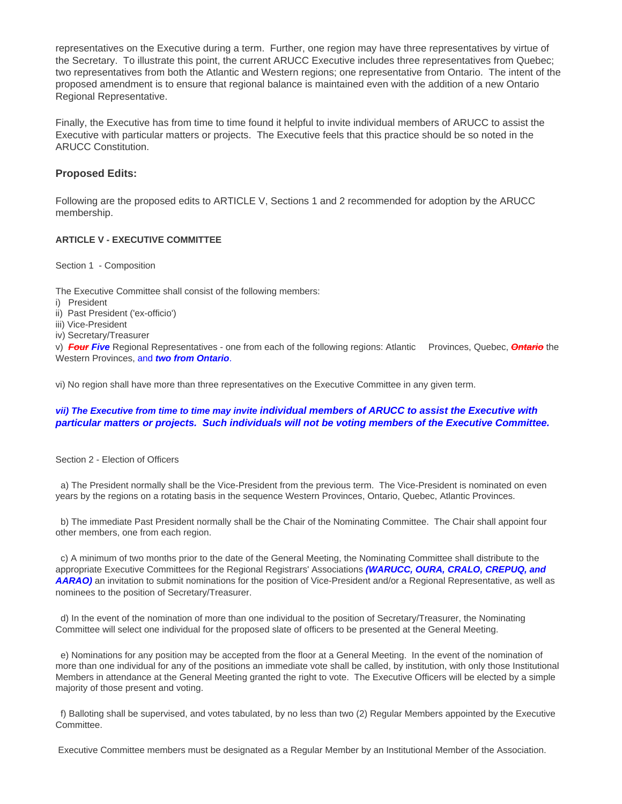representatives on the Executive during a term. Further, one region may have three representatives by virtue of the Secretary. To illustrate this point, the current ARUCC Executive includes three representatives from Quebec; two representatives from both the Atlantic and Western regions; one representative from Ontario. The intent of the proposed amendment is to ensure that regional balance is maintained even with the addition of a new Ontario Regional Representative.

Finally, the Executive has from time to time found it helpful to invite individual members of ARUCC to assist the Executive with particular matters or projects. The Executive feels that this practice should be so noted in the ARUCC Constitution.

### **Proposed Edits:**

Following are the proposed edits to ARTICLE V, Sections 1 and 2 recommended for adoption by the ARUCC membership.

#### **ARTICLE V - EXECUTIVE COMMITTEE**

Section 1 - Composition

The Executive Committee shall consist of the following members:

- i) President
- ii) Past President ('ex-officio')
- iii) Vice-President
- iv) Secretary/Treasurer

v) *Four Five* Regional Representatives - one from each of the following regions: Atlantic Provinces, Quebec, *Ontario* the Western Provinces, and *two from Ontario*.

vi) No region shall have more than three representatives on the Executive Committee in any given term.

#### *vii) The Executive from time to time may invite individual members of ARUCC to assist the Executive with particular matters or projects. Such individuals will not be voting members of the Executive Committee.*

Section 2 - Election of Officers

 a) The President normally shall be the Vice-President from the previous term. The Vice-President is nominated on even years by the regions on a rotating basis in the sequence Western Provinces, Ontario, Quebec, Atlantic Provinces.

 b) The immediate Past President normally shall be the Chair of the Nominating Committee. The Chair shall appoint four other members, one from each region.

 c) A minimum of two months prior to the date of the General Meeting, the Nominating Committee shall distribute to the appropriate Executive Committees for the Regional Registrars' Associations *(WARUCC, OURA, CRALO, CREPUQ, and AARAO)* an invitation to submit nominations for the position of Vice-President and/or a Regional Representative, as well as nominees to the position of Secretary/Treasurer.

 d) In the event of the nomination of more than one individual to the position of Secretary/Treasurer, the Nominating Committee will select one individual for the proposed slate of officers to be presented at the General Meeting.

 e) Nominations for any position may be accepted from the floor at a General Meeting. In the event of the nomination of more than one individual for any of the positions an immediate vote shall be called, by institution, with only those Institutional Members in attendance at the General Meeting granted the right to vote. The Executive Officers will be elected by a simple majority of those present and voting.

 f) Balloting shall be supervised, and votes tabulated, by no less than two (2) Regular Members appointed by the Executive Committee.

Executive Committee members must be designated as a Regular Member by an Institutional Member of the Association.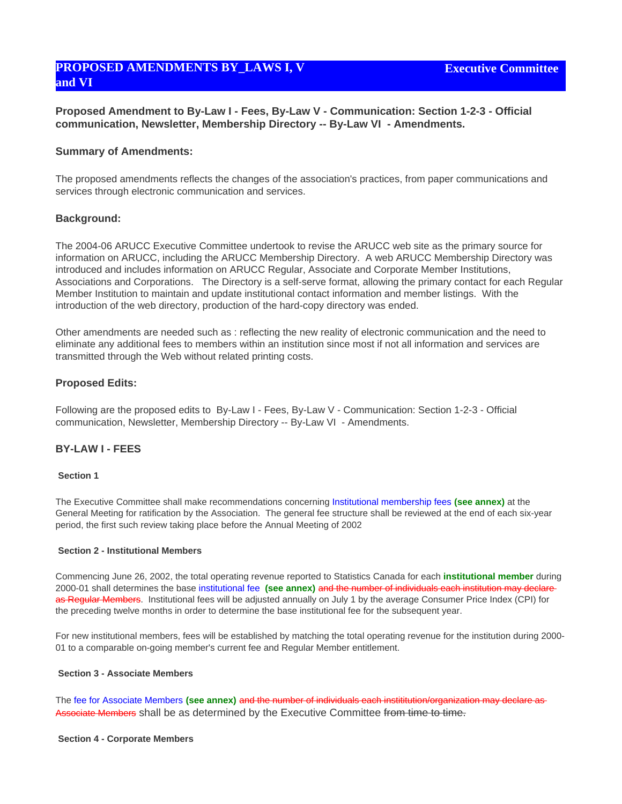# **PROPOSED AMENDMENTS BY\_LAWS I, V and VI**

**Proposed Amendment to By-Law I - Fees, By-Law V - Communication: Section 1-2-3 - Official communication, Newsletter, Membership Directory -- By-Law VI - Amendments.**

#### **Summary of Amendments:**

The proposed amendments reflects the changes of the association's practices, from paper communications and services through electronic communication and services.

#### **Background:**

The 2004-06 ARUCC Executive Committee undertook to revise the ARUCC web site as the primary source for information on ARUCC, including the ARUCC Membership Directory. A web ARUCC Membership Directory was introduced and includes information on ARUCC Regular, Associate and Corporate Member Institutions, Associations and Corporations. The Directory is a self-serve format, allowing the primary contact for each Regular Member Institution to maintain and update institutional contact information and member listings. With the introduction of the web directory, production of the hard-copy directory was ended.

Other amendments are needed such as : reflecting the new reality of electronic communication and the need to eliminate any additional fees to members within an institution since most if not all information and services are transmitted through the Web without related printing costs.

#### **Proposed Edits:**

Following are the proposed edits to By-Law I - Fees, By-Law V - Communication: Section 1-2-3 - Official communication, Newsletter, Membership Directory -- By-Law VI - Amendments.

#### **BY-LAW I - FEES**

#### **Section 1**

The Executive Committee shall make recommendations concerning Institutional membership fees **(see annex)** at the General Meeting for ratification by the Association. The general fee structure shall be reviewed at the end of each six-year period, the first such review taking place before the Annual Meeting of 2002

#### **Section 2 - Institutional Members**

Commencing June 26, 2002, the total operating revenue reported to Statistics Canada for each **institutional member** during 2000-01 shall determines the base institutional fee **(see annex)** and the number of individuals each institution may declare as Regular Members. Institutional fees will be adjusted annually on July 1 by the average Consumer Price Index (CPI) for the preceding twelve months in order to determine the base institutional fee for the subsequent year.

For new institutional members, fees will be established by matching the total operating revenue for the institution during 2000- 01 to a comparable on-going member's current fee and Regular Member entitlement.

#### **Section 3 - Associate Members**

The fee for Associate Members **(see annex)** and the number of individuals each instititution/organization may declare as Associate Members shall be as determined by the Executive Committee from time to time.

#### **Section 4 - Corporate Members**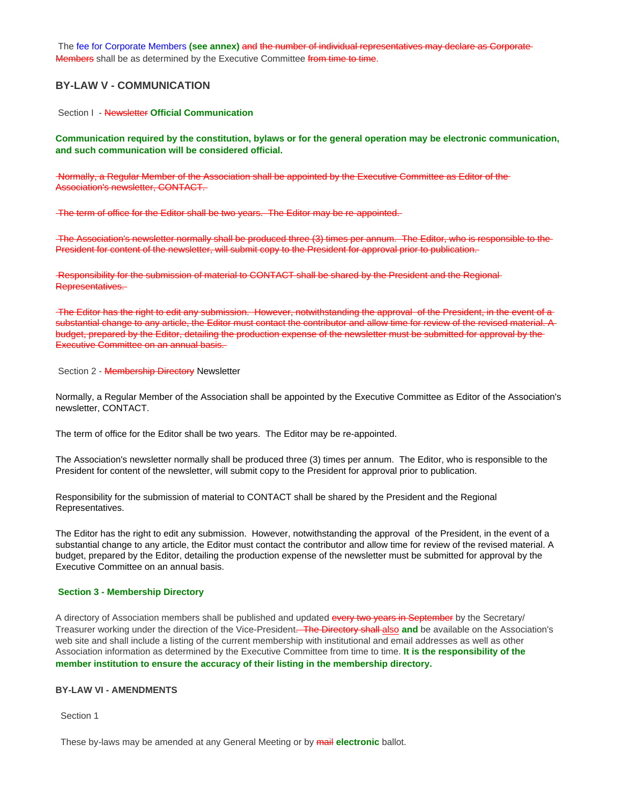The fee for Corporate Members **(see annex)** and the number of individual representatives may declare as Corporate Members shall be as determined by the Executive Committee from time to time.

#### **BY-LAW V - COMMUNICATION**

Section I - Newsletter **Official Communication**

**Communication required by the constitution, bylaws or for the general operation may be electronic communication, and such communication will be considered official.**

 Normally, a Regular Member of the Association shall be appointed by the Executive Committee as Editor of the Association's newsletter, CONTACT.

The term of office for the Editor shall be two years. The Editor may be re-appointed.

 The Association's newsletter normally shall be produced three (3) times per annum. The Editor, who is responsible to the President for content of the newsletter, will submit copy to the President for approval prior to publication.

 Responsibility for the submission of material to CONTACT shall be shared by the President and the Regional Representatives.

The Editor has the right to edit any submission. However, notwithstanding the approval of the President, in the event of a substantial change to any article, the Editor must contact the contributor and allow time for review of the revised material. A budget, prepared by the Editor, detailing the production expense of the newsletter must be submitted for approval by the Executive Committee on an annual basis.

Section 2 - Membership Directory Newsletter

Normally, a Regular Member of the Association shall be appointed by the Executive Committee as Editor of the Association's newsletter, CONTACT.

The term of office for the Editor shall be two years. The Editor may be re-appointed.

The Association's newsletter normally shall be produced three (3) times per annum. The Editor, who is responsible to the President for content of the newsletter, will submit copy to the President for approval prior to publication.

Responsibility for the submission of material to CONTACT shall be shared by the President and the Regional Representatives.

The Editor has the right to edit any submission. However, notwithstanding the approval of the President, in the event of a substantial change to any article, the Editor must contact the contributor and allow time for review of the revised material. A budget, prepared by the Editor, detailing the production expense of the newsletter must be submitted for approval by the Executive Committee on an annual basis.

#### **Section 3 - Membership Directory**

A directory of Association members shall be published and updated every two years in September by the Secretary/ Treasurer working under the direction of the Vice-President. The Directory shall also **and** be available on the Association's web site and shall include a listing of the current membership with institutional and email addresses as well as other Association information as determined by the Executive Committee from time to time. **It is the responsibility of the member institution to ensure the accuracy of their listing in the membership directory.**

#### **BY-LAW VI - AMENDMENTS**

Section 1

These by-laws may be amended at any General Meeting or by mail **electronic** ballot.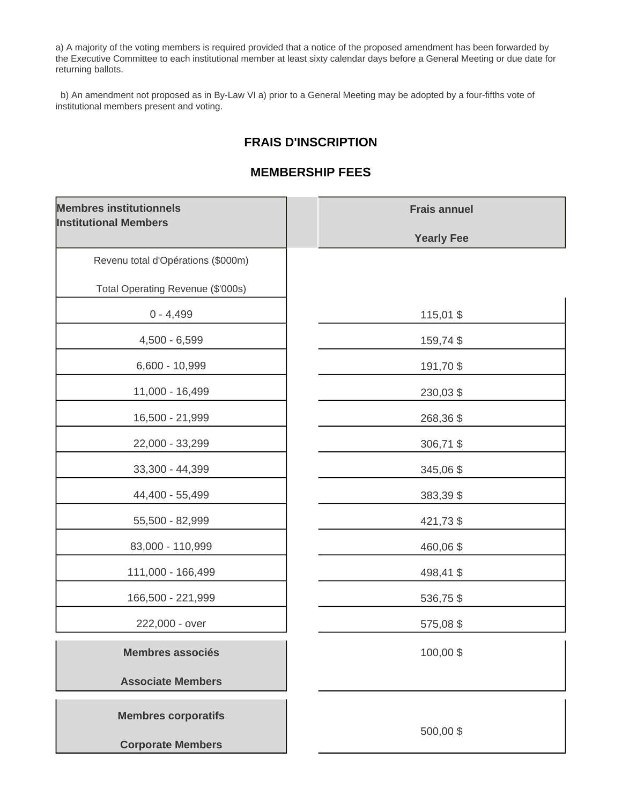a) A majority of the voting members is required provided that a notice of the proposed amendment has been forwarded by the Executive Committee to each institutional member at least sixty calendar days before a General Meeting or due date for returning ballots.

 b) An amendment not proposed as in By-Law VI a) prior to a General Meeting may be adopted by a four-fifths vote of institutional members present and voting.

# **FRAIS D'INSCRIPTION**

# **MEMBERSHIP FEES**

| <b>Membres institutionnels</b><br><b>Institutional Members</b> | <b>Frais annuel</b> |
|----------------------------------------------------------------|---------------------|
|                                                                | <b>Yearly Fee</b>   |
| Revenu total d'Opérations (\$000m)                             |                     |
| Total Operating Revenue (\$'000s)                              |                     |
| $0 - 4,499$                                                    | 115,01 \$           |
| $4,500 - 6,599$                                                | 159,74 \$           |
| 6,600 - 10,999                                                 | 191,70\$            |
| 11,000 - 16,499                                                | 230,03 \$           |
| 16,500 - 21,999                                                | 268,36 \$           |
| 22,000 - 33,299                                                | 306,71 \$           |
| 33,300 - 44,399                                                | 345,06 \$           |
| 44,400 - 55,499                                                | 383,39 \$           |
| 55,500 - 82,999                                                | 421,73 \$           |
| 83,000 - 110,999                                               | 460,06 \$           |
| 111,000 - 166,499                                              | 498,41 \$           |
| 166,500 - 221,999                                              | 536,75 \$           |
| 222,000 - over                                                 | 575,08 \$           |
| <b>Membres associés</b>                                        | 100,00\$            |
| <b>Associate Members</b>                                       |                     |
| <b>Membres corporatifs</b>                                     |                     |
| <b>Corporate Members</b>                                       | 500,00\$            |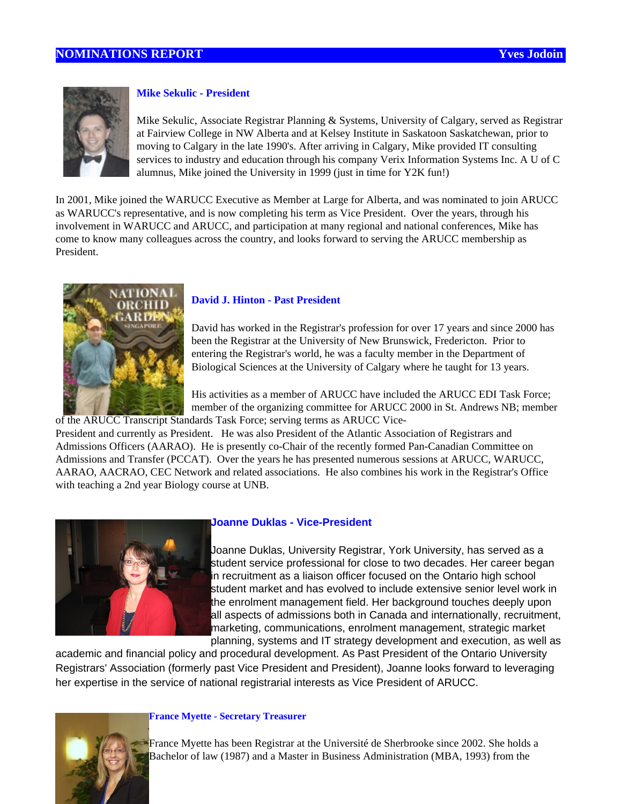

## **Mike Sekulic - President**

Mike Sekulic, Associate Registrar Planning & Systems, University of Calgary, served as Registrar at Fairview College in NW Alberta and at Kelsey Institute in Saskatoon Saskatchewan, prior to moving to Calgary in the late 1990's. After arriving in Calgary, Mike provided IT consulting services to industry and education through his company Verix Information Systems Inc. A U of C alumnus, Mike joined the University in 1999 (just in time for Y2K fun!)

In 2001, Mike joined the WARUCC Executive as Member at Large for Alberta, and was nominated to join ARUCC as WARUCC's representative, and is now completing his term as Vice President. Over the years, through his involvement in WARUCC and ARUCC, and participation at many regional and national conferences, Mike has come to know many colleagues across the country, and looks forward to serving the ARUCC membership as President.



## **David J. Hinton - Past President**

David has worked in the Registrar's profession for over 17 years and since 2000 has been the Registrar at the University of New Brunswick, Fredericton. Prior to entering the Registrar's world, he was a faculty member in the Department of Biological Sciences at the University of Calgary where he taught for 13 years.

His activities as a member of ARUCC have included the ARUCC EDI Task Force; member of the organizing committee for ARUCC 2000 in St. Andrews NB; member of the ARUCC Transcript Standards Task Force; serving terms as ARUCC Vice-

President and currently as President. He was also President of the Atlantic Association of Registrars and Admissions Officers (AARAO). He is presently co-Chair of the recently formed Pan-Canadian Committee on Admissions and Transfer (PCCAT). Over the years he has presented numerous sessions at ARUCC, WARUCC, AARAO, AACRAO, CEC Network and related associations. He also combines his work in the Registrar's Office with teaching a 2nd year Biology course at UNB.



## **Joanne Duklas - Vice-President**

Joanne Duklas, University Registrar, York University, has served as a student service professional for close to two decades. Her career began in recruitment as a liaison officer focused on the Ontario high school student market and has evolved to include extensive senior level work in the enrolment management field. Her background touches deeply upon all aspects of admissions both in Canada and internationally, recruitment, marketing, communications, enrolment management, strategic market planning, systems and IT strategy development and execution, as well as

academic and financial policy and procedural development. As Past President of the Ontario University Registrars' Association (formerly past Vice President and President), Joanne looks forward to leveraging her expertise in the service of national registrarial interests as Vice President of ARUCC.

#### **France Myette - Secretary Treasurer**

France Myette has been Registrar at the Université de Sherbrooke since 2002. She holds a Bachelor of law (1987) and a Master in Business Administration (MBA, 1993) from the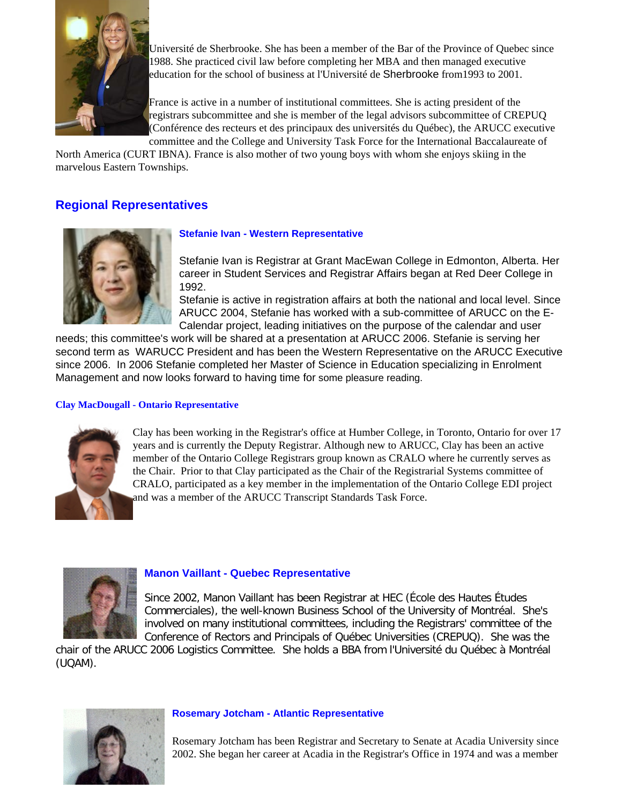

Université de Sherbrooke. She has been a member of the Bar of the Province of Quebec since 1988. She practiced civil law before completing her MBA and then managed executive education for the school of business at l'Université de Sherbrooke from1993 to 2001.

France is active in a number of institutional committees. She is acting president of the registrars subcommittee and she is member of the legal advisors subcommittee of CREPUQ (Conférence des recteurs et des principaux des universités du Québec), the ARUCC executive committee and the College and University Task Force for the International Baccalaureate of

North America (CURT IBNA). France is also mother of two young boys with whom she enjoys skiing in the marvelous Eastern Townships.

# **Regional Representatives**



## **Stefanie Ivan - Western Representative**

Stefanie Ivan is Registrar at Grant MacEwan College in Edmonton, Alberta. Her career in Student Services and Registrar Affairs began at Red Deer College in 1992.

Stefanie is active in registration affairs at both the national and local level. Since ARUCC 2004, Stefanie has worked with a sub-committee of ARUCC on the E-Calendar project, leading initiatives on the purpose of the calendar and user

needs; this committee's work will be shared at a presentation at ARUCC 2006. Stefanie is serving her second term as WARUCC President and has been the Western Representative on the ARUCC Executive since 2006. In 2006 Stefanie completed her Master of Science in Education specializing in Enrolment Management and now looks forward to having time for some pleasure reading.

### **Clay MacDougall - Ontario Representative**



Clay has been working in the Registrar's office at Humber College, in Toronto, Ontario for over 17 years and is currently the Deputy Registrar. Although new to ARUCC, Clay has been an active member of the Ontario College Registrars group known as CRALO where he currently serves as the Chair. Prior to that Clay participated as the Chair of the Registrarial Systems committee of CRALO, participated as a key member in the implementation of the Ontario College EDI project and was a member of the ARUCC Transcript Standards Task Force.



## **Manon Vaillant - Quebec Representative**

Since 2002, Manon Vaillant has been Registrar at HEC (École des Hautes Études Commerciales), the well-known Business School of the University of Montréal. She's involved on many institutional committees, including the Registrars' committee of the Conference of Rectors and Principals of Québec Universities (CREPUQ). She was the

chair of the ARUCC 2006 Logistics Committee. She holds a BBA from l'Université du Québec à Montréal (UQAM).



#### **Rosemary Jotcham - Atlantic Representative**

Rosemary Jotcham has been Registrar and Secretary to Senate at Acadia University since 2002. She began her career at Acadia in the Registrar's Office in 1974 and was a member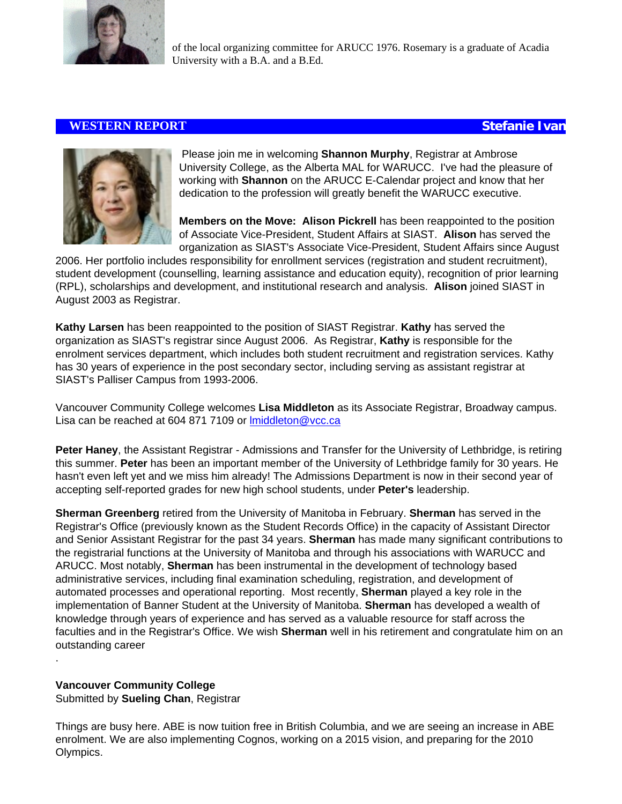

of the local organizing committee for ARUCC 1976. Rosemary is a graduate of Acadia University with a B.A. and a B.Ed.

## **WESTERN REPORT Stefanie Ivan**



Please join me in welcoming **Shannon Murphy**, Registrar at Ambrose University College, as the Alberta MAL for WARUCC. I've had the pleasure of working with **Shannon** on the ARUCC E-Calendar project and know that her dedication to the profession will greatly benefit the WARUCC executive.

**Members on the Move: Alison Pickrell** has been reappointed to the position of Associate Vice-President, Student Affairs at SIAST. **Alison** has served the organization as SIAST's Associate Vice-President, Student Affairs since August

2006. Her portfolio includes responsibility for enrollment services (registration and student recruitment), student development (counselling, learning assistance and education equity), recognition of prior learning (RPL), scholarships and development, and institutional research and analysis. **Alison** joined SIAST in August 2003 as Registrar.

**Kathy Larsen** has been reappointed to the position of SIAST Registrar. **Kathy** has served the organization as SIAST's registrar since August 2006. As Registrar, **Kathy** is responsible for the enrolment services department, which includes both student recruitment and registration services. Kathy has 30 years of experience in the post secondary sector, including serving as assistant registrar at SIAST's Palliser Campus from 1993-2006.

Vancouver Community College welcomes **Lisa Middleton** as its Associate Registrar, Broadway campus. Lisa can be reached at 604 871 7109 or Imiddleton@vcc.ca

**Peter Haney**, the Assistant Registrar - Admissions and Transfer for the University of Lethbridge, is retiring this summer. **Peter** has been an important member of the University of Lethbridge family for 30 years. He hasn't even left yet and we miss him already! The Admissions Department is now in their second year of accepting self-reported grades for new high school students, under **Peter's** leadership.

**Sherman Greenberg** retired from the University of Manitoba in February. **Sherman** has served in the Registrar's Office (previously known as the Student Records Office) in the capacity of Assistant Director and Senior Assistant Registrar for the past 34 years. **Sherman** has made many significant contributions to the registrarial functions at the University of Manitoba and through his associations with WARUCC and ARUCC. Most notably, **Sherman** has been instrumental in the development of technology based administrative services, including final examination scheduling, registration, and development of automated processes and operational reporting. Most recently, **Sherman** played a key role in the implementation of Banner Student at the University of Manitoba. **Sherman** has developed a wealth of knowledge through years of experience and has served as a valuable resource for staff across the faculties and in the Registrar's Office. We wish **Sherman** well in his retirement and congratulate him on an outstanding career

## **Vancouver Community College**

.

Submitted by **Sueling Chan**, Registrar

Things are busy here. ABE is now tuition free in British Columbia, and we are seeing an increase in ABE enrolment. We are also implementing Cognos, working on a 2015 vision, and preparing for the 2010 Olympics.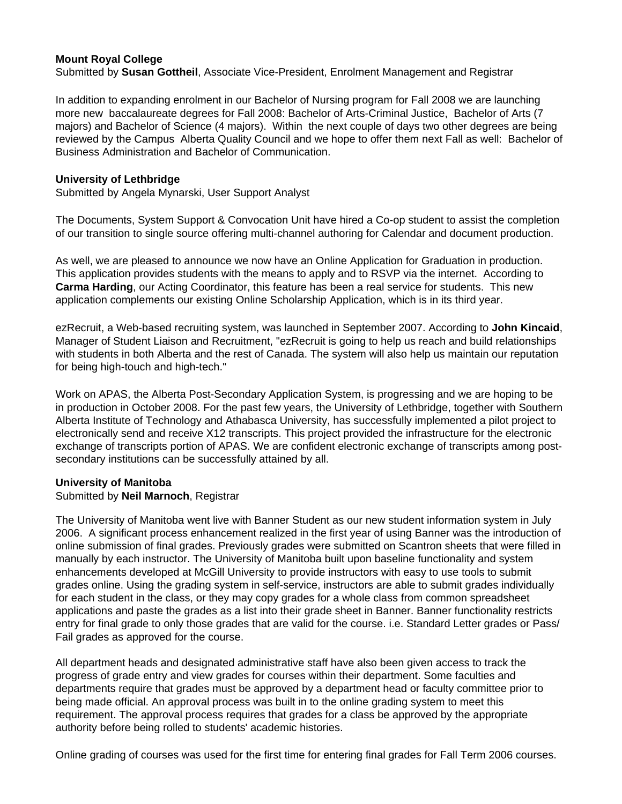## **Mount Royal College**

Submitted by **Susan Gottheil**, Associate Vice-President, Enrolment Management and Registrar

In addition to expanding enrolment in our Bachelor of Nursing program for Fall 2008 we are launching more new baccalaureate degrees for Fall 2008: Bachelor of Arts-Criminal Justice, Bachelor of Arts (7 majors) and Bachelor of Science (4 majors). Within the next couple of days two other degrees are being reviewed by the Campus Alberta Quality Council and we hope to offer them next Fall as well: Bachelor of Business Administration and Bachelor of Communication.

## **University of Lethbridge**

Submitted by Angela Mynarski, User Support Analyst

The Documents, System Support & Convocation Unit have hired a Co-op student to assist the completion of our transition to single source offering multi-channel authoring for Calendar and document production.

As well, we are pleased to announce we now have an Online Application for Graduation in production. This application provides students with the means to apply and to RSVP via the internet. According to **Carma Harding**, our Acting Coordinator, this feature has been a real service for students. This new application complements our existing Online Scholarship Application, which is in its third year.

ezRecruit, a Web-based recruiting system, was launched in September 2007. According to **John Kincaid**, Manager of Student Liaison and Recruitment, "ezRecruit is going to help us reach and build relationships with students in both Alberta and the rest of Canada. The system will also help us maintain our reputation for being high-touch and high-tech."

Work on APAS, the Alberta Post-Secondary Application System, is progressing and we are hoping to be in production in October 2008. For the past few years, the University of Lethbridge, together with Southern Alberta Institute of Technology and Athabasca University, has successfully implemented a pilot project to electronically send and receive X12 transcripts. This project provided the infrastructure for the electronic exchange of transcripts portion of APAS. We are confident electronic exchange of transcripts among postsecondary institutions can be successfully attained by all.

## **University of Manitoba**

#### Submitted by **Neil Marnoch**, Registrar

The University of Manitoba went live with Banner Student as our new student information system in July 2006. A significant process enhancement realized in the first year of using Banner was the introduction of online submission of final grades. Previously grades were submitted on Scantron sheets that were filled in manually by each instructor. The University of Manitoba built upon baseline functionality and system enhancements developed at McGill University to provide instructors with easy to use tools to submit grades online. Using the grading system in self-service, instructors are able to submit grades individually for each student in the class, or they may copy grades for a whole class from common spreadsheet applications and paste the grades as a list into their grade sheet in Banner. Banner functionality restricts entry for final grade to only those grades that are valid for the course. i.e. Standard Letter grades or Pass/ Fail grades as approved for the course.

All department heads and designated administrative staff have also been given access to track the progress of grade entry and view grades for courses within their department. Some faculties and departments require that grades must be approved by a department head or faculty committee prior to being made official. An approval process was built in to the online grading system to meet this requirement. The approval process requires that grades for a class be approved by the appropriate authority before being rolled to students' academic histories.

Online grading of courses was used for the first time for entering final grades for Fall Term 2006 courses.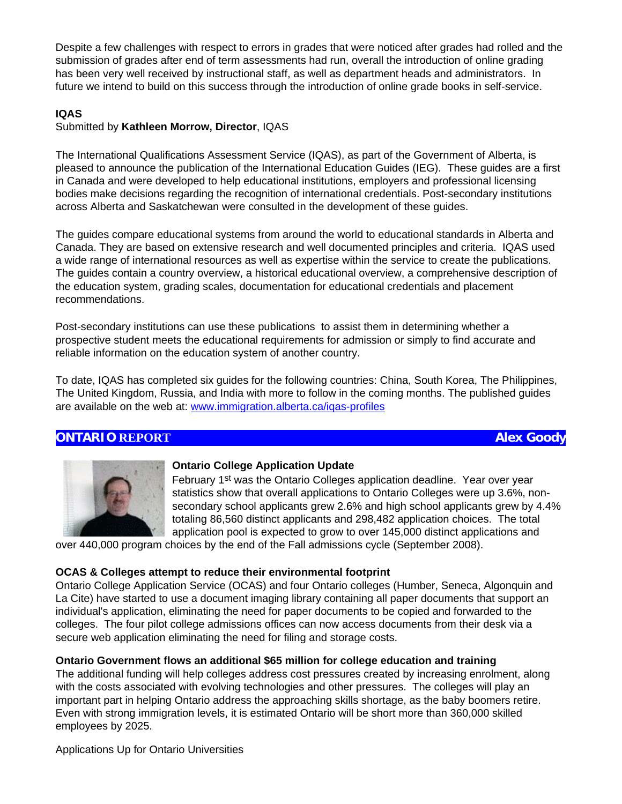Despite a few challenges with respect to errors in grades that were noticed after grades had rolled and the submission of grades after end of term assessments had run, overall the introduction of online grading has been very well received by instructional staff, as well as department heads and administrators. In future we intend to build on this success through the introduction of online grade books in self-service.

## **IQAS**

## Submitted by **Kathleen Morrow, Director**, IQAS

The International Qualifications Assessment Service (IQAS), as part of the Government of Alberta, is pleased to announce the publication of the International Education Guides (IEG). These guides are a first in Canada and were developed to help educational institutions, employers and professional licensing bodies make decisions regarding the recognition of international credentials. Post-secondary institutions across Alberta and Saskatchewan were consulted in the development of these guides.

The guides compare educational systems from around the world to educational standards in Alberta and Canada. They are based on extensive research and well documented principles and criteria. IQAS used a wide range of international resources as well as expertise within the service to create the publications. The guides contain a country overview, a historical educational overview, a comprehensive description of the education system, grading scales, documentation for educational credentials and placement recommendations.

Post-secondary institutions can use these publications to assist them in determining whether a prospective student meets the educational requirements for admission or simply to find accurate and reliable information on the education system of another country.

To date, IQAS has completed six guides for the following countries: China, South Korea, The Philippines, The United Kingdom, Russia, and India with more to follow in the coming months. The published guides are available on the web at: [www.immigration.alberta.ca/iqas-profiles](http://www.immigration.alberta.ca/iqas-profiles)

## **ONTARIO REPORT Alex Goody**



## **Ontario College Application Update**

February 1<sup>st</sup> was the Ontario Colleges application deadline. Year over year statistics show that overall applications to Ontario Colleges were up 3.6%, nonsecondary school applicants grew 2.6% and high school applicants grew by 4.4% totaling 86,560 distinct applicants and 298,482 application choices. The total application pool is expected to grow to over 145,000 distinct applications and

over 440,000 program choices by the end of the Fall admissions cycle (September 2008).

## **OCAS & Colleges attempt to reduce their environmental footprint**

Ontario College Application Service (OCAS) and four Ontario colleges (Humber, Seneca, Algonquin and La Cite) have started to use a document imaging library containing all paper documents that support an individual's application, eliminating the need for paper documents to be copied and forwarded to the colleges. The four pilot college admissions offices can now access documents from their desk via a secure web application eliminating the need for filing and storage costs.

## **Ontario Government flows an additional \$65 million for college education and training**

The additional funding will help colleges address cost pressures created by increasing enrolment, along with the costs associated with evolving technologies and other pressures. The colleges will play an important part in helping Ontario address the approaching skills shortage, as the baby boomers retire. Even with strong immigration levels, it is estimated Ontario will be short more than 360,000 skilled employees by 2025.

Applications Up for Ontario Universities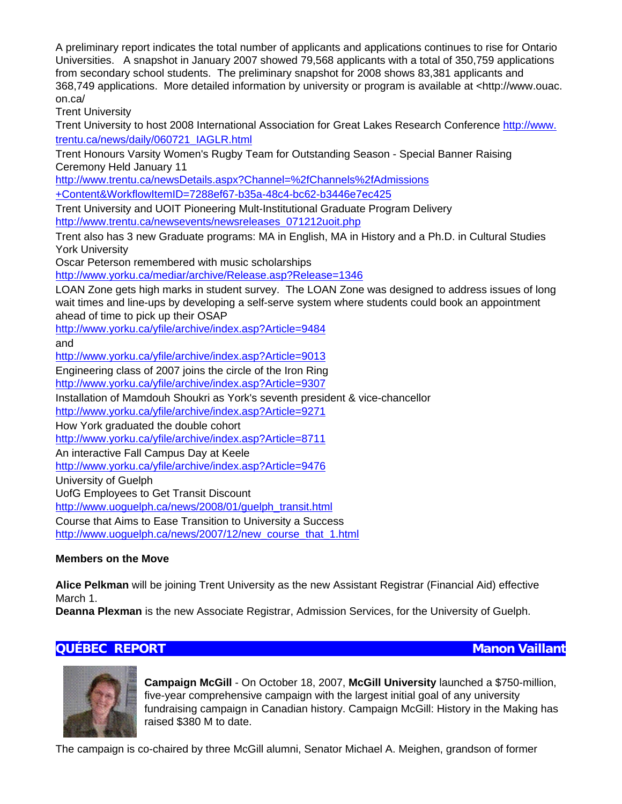A preliminary report indicates the total number of applicants and applications continues to rise for Ontario Universities. A snapshot in January 2007 showed 79,568 applicants with a total of 350,759 applications from secondary school students. The preliminary snapshot for 2008 shows 83,381 applicants and 368,749 applications. More detailed information by university or program is available at <http://www.ouac. on.ca/

Trent University

Trent University to host 2008 International Association for Great Lakes Research Conference [http://www.](http://www.trentu.ca/news/daily/060721_IAGLR.html) [trentu.ca/news/daily/060721\\_IAGLR.html](http://www.trentu.ca/news/daily/060721_IAGLR.html)

Trent Honours Varsity Women's Rugby Team for Outstanding Season - Special Banner Raising Ceremony Held January 11

[http://www.trentu.ca/newsDetails.aspx?Channel=%2fChannels%2fAdmissions](http://www.trentu.ca/newsDetails.aspx?Channel=%2fChannels%2fAdmissions+Content&WorkflowItemID=7288ef67-b35a-48c4-bc62-b3446e7ec425)

[+Content&WorkflowItemID=7288ef67-b35a-48c4-bc62-b3446e7ec425](http://www.trentu.ca/newsDetails.aspx?Channel=%2fChannels%2fAdmissions+Content&WorkflowItemID=7288ef67-b35a-48c4-bc62-b3446e7ec425)

Trent University and UOIT Pioneering Mult-Institutional Graduate Program Delivery [http://www.trentu.ca/newsevents/newsreleases\\_071212uoit.php](http://www.trentu.ca/newsevents/newsreleases_071212uoit.php)

Trent also has 3 new Graduate programs: MA in English, MA in History and a Ph.D. in Cultural Studies York University

Oscar Peterson remembered with music scholarships

<http://www.yorku.ca/mediar/archive/Release.asp?Release=1346>

LOAN Zone gets high marks in student survey. The LOAN Zone was designed to address issues of long wait times and line-ups by developing a self-serve system where students could book an appointment ahead of time to pick up their OSAP

<http://www.yorku.ca/yfile/archive/index.asp?Article=9484>

and

<http://www.yorku.ca/yfile/archive/index.asp?Article=9013>

Engineering class of 2007 joins the circle of the Iron Ring

<http://www.yorku.ca/yfile/archive/index.asp?Article=9307>

Installation of Mamdouh Shoukri as York's seventh president & vice-chancellor <http://www.yorku.ca/yfile/archive/index.asp?Article=9271>

How York graduated the double cohort

<http://www.yorku.ca/yfile/archive/index.asp?Article=8711>

An interactive Fall Campus Day at Keele

<http://www.yorku.ca/yfile/archive/index.asp?Article=9476>

University of Guelph

UofG Employees to Get Transit Discount

[http://www.uoguelph.ca/news/2008/01/guelph\\_transit.html](http://www.uoguelph.ca/news/2008/01/guelph_transit.html)

Course that Aims to Ease Transition to University a Success

[http://www.uoguelph.ca/news/2007/12/new\\_course\\_that\\_1.html](http://www.uoguelph.ca/news/2007/12/new_course_that_1.html)

## **Members on the Move**

**Alice Pelkman** will be joining Trent University as the new Assistant Registrar (Financial Aid) effective March 1.

**Deanna Plexman** is the new Associate Registrar, Admission Services, for the University of Guelph.

# **QUÉBEC REPORT Manon Vaillant**



**Campaign McGill** - On October 18, 2007, **McGill University** launched a \$750-million, five-year comprehensive campaign with the largest initial goal of any university fundraising campaign in Canadian history. Campaign McGill: History in the Making has raised \$380 M to date.

The campaign is co-chaired by three McGill alumni, Senator Michael A. Meighen, grandson of former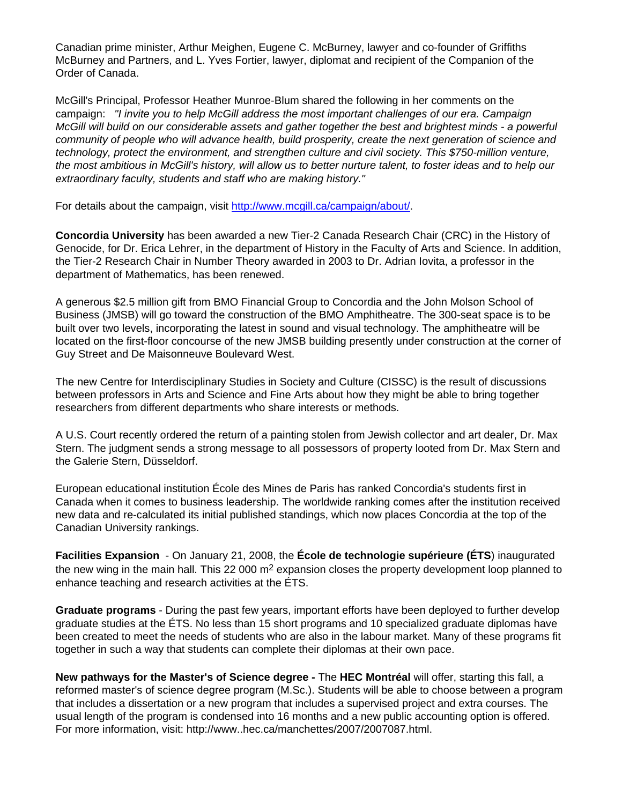Canadian prime minister, Arthur Meighen, Eugene C. McBurney, lawyer and co-founder of Griffiths McBurney and Partners, and L. Yves Fortier, lawyer, diplomat and recipient of the Companion of the Order of Canada.

McGill's Principal, Professor Heather Munroe-Blum shared the following in her comments on the campaign: *"I invite you to help McGill address the most important challenges of our era. Campaign McGill will build on our considerable assets and gather together the best and brightest minds - a powerful community of people who will advance health, build prosperity, create the next generation of science and technology, protect the environment, and strengthen culture and civil society. This \$750-million venture, the most ambitious in McGill's history, will allow us to better nurture talent, to foster ideas and to help our extraordinary faculty, students and staff who are making history."*

For details about the campaign, visit [http://www.mcgill.ca/campaign/about/.](http://www.mcgill.ca/campaign/about/)

**Concordia University** has been awarded a new Tier-2 Canada Research Chair (CRC) in the History of Genocide, for Dr. Erica Lehrer, in the department of History in the Faculty of Arts and Science. In addition, the Tier-2 Research Chair in Number Theory awarded in 2003 to Dr. Adrian Iovita, a professor in the department of Mathematics, has been renewed.

A generous \$2.5 million gift from BMO Financial Group to Concordia and the John Molson School of Business (JMSB) will go toward the construction of the BMO Amphitheatre. The 300-seat space is to be built over two levels, incorporating the latest in sound and visual technology. The amphitheatre will be located on the first-floor concourse of the new JMSB building presently under construction at the corner of Guy Street and De Maisonneuve Boulevard West.

The new Centre for Interdisciplinary Studies in Society and Culture (CISSC) is the result of discussions between professors in Arts and Science and Fine Arts about how they might be able to bring together researchers from different departments who share interests or methods.

A U.S. Court recently ordered the return of a painting stolen from Jewish collector and art dealer, Dr. Max Stern. The judgment sends a strong message to all possessors of property looted from Dr. Max Stern and the Galerie Stern, Düsseldorf.

European educational institution École des Mines de Paris has ranked Concordia's students first in Canada when it comes to business leadership. The worldwide ranking comes after the institution received new data and re-calculated its initial published standings, which now places Concordia at the top of the Canadian University rankings.

**Facilities Expansion** - On January 21, 2008, the **École de technologie supérieure (ÉTS**) inaugurated the new wing in the main hall. This 22 000 m<sup>2</sup> expansion closes the property development loop planned to enhance teaching and research activities at the ÉTS.

**Graduate programs** - During the past few years, important efforts have been deployed to further develop graduate studies at the ÉTS. No less than 15 short programs and 10 specialized graduate diplomas have been created to meet the needs of students who are also in the labour market. Many of these programs fit together in such a way that students can complete their diplomas at their own pace.

**New pathways for the Master's of Science degree -** The **HEC Montréal** will offer, starting this fall, a reformed master's of science degree program (M.Sc.). Students will be able to choose between a program that includes a dissertation or a new program that includes a supervised project and extra courses. The usual length of the program is condensed into 16 months and a new public accounting option is offered. For more information, visit: http://www..hec.ca/manchettes/2007/2007087.html.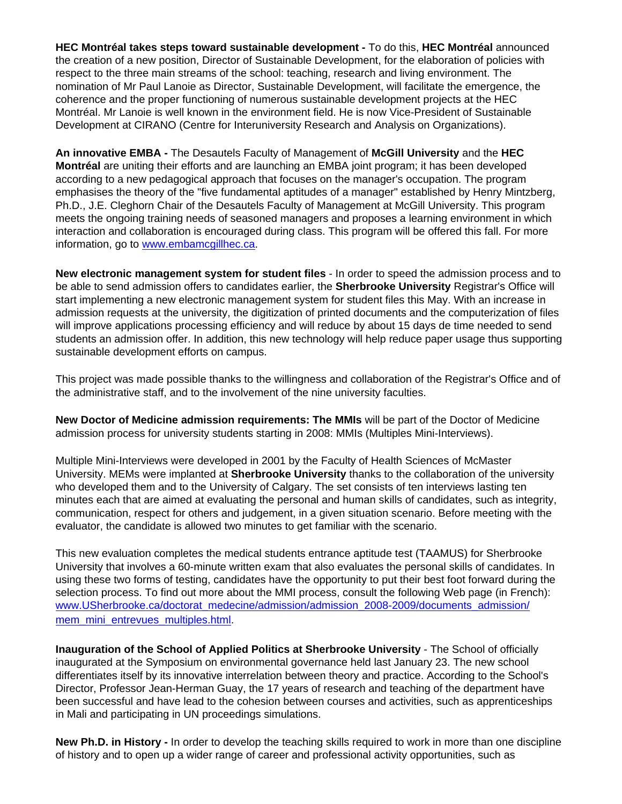**HEC Montréal takes steps toward sustainable development -** To do this, **HEC Montréal** announced the creation of a new position, Director of Sustainable Development, for the elaboration of policies with respect to the three main streams of the school: teaching, research and living environment. The nomination of Mr Paul Lanoie as Director, Sustainable Development, will facilitate the emergence, the coherence and the proper functioning of numerous sustainable development projects at the HEC Montréal. Mr Lanoie is well known in the environment field. He is now Vice-President of Sustainable Development at CIRANO (Centre for Interuniversity Research and Analysis on Organizations).

**An innovative EMBA -** The Desautels Faculty of Management of **McGill University** and the **HEC Montréal** are uniting their efforts and are launching an EMBA joint program; it has been developed according to a new pedagogical approach that focuses on the manager's occupation. The program emphasises the theory of the "five fundamental aptitudes of a manager" established by Henry Mintzberg, Ph.D., J.E. Cleghorn Chair of the Desautels Faculty of Management at McGill University. This program meets the ongoing training needs of seasoned managers and proposes a learning environment in which interaction and collaboration is encouraged during class. This program will be offered this fall. For more information, go to [www.embamcgillhec.ca](http://www.embamcgillhec.ca/).

**New electronic management system for student files** - In order to speed the admission process and to be able to send admission offers to candidates earlier, the **Sherbrooke University** Registrar's Office will start implementing a new electronic management system for student files this May. With an increase in admission requests at the university, the digitization of printed documents and the computerization of files will improve applications processing efficiency and will reduce by about 15 days de time needed to send students an admission offer. In addition, this new technology will help reduce paper usage thus supporting sustainable development efforts on campus.

This project was made possible thanks to the willingness and collaboration of the Registrar's Office and of the administrative staff, and to the involvement of the nine university faculties.

**New Doctor of Medicine admission requirements: The MMIs** will be part of the Doctor of Medicine admission process for university students starting in 2008: MMIs (Multiples Mini-Interviews).

Multiple Mini-Interviews were developed in 2001 by the Faculty of Health Sciences of McMaster University. MEMs were implanted at **Sherbrooke University** thanks to the collaboration of the university who developed them and to the University of Calgary. The set consists of ten interviews lasting ten minutes each that are aimed at evaluating the personal and human skills of candidates, such as integrity, communication, respect for others and judgement, in a given situation scenario. Before meeting with the evaluator, the candidate is allowed two minutes to get familiar with the scenario.

This new evaluation completes the medical students entrance aptitude test (TAAMUS) for Sherbrooke University that involves a 60-minute written exam that also evaluates the personal skills of candidates. In using these two forms of testing, candidates have the opportunity to put their best foot forward during the selection process. To find out more about the MMI process, consult the following Web page (in French): [www.USherbrooke.ca/doctorat\\_medecine/admission/admission\\_2008-2009/documents\\_admission/](http://www.usherbrooke.ca/doctorat_medecine/admission/admission_2008-2009/documents_admission/mem_mini_entrevues_multiples.html) [mem\\_mini\\_entrevues\\_multiples.html](http://www.usherbrooke.ca/doctorat_medecine/admission/admission_2008-2009/documents_admission/mem_mini_entrevues_multiples.html).

**Inauguration of the School of Applied Politics at Sherbrooke University** - The School of officially inaugurated at the Symposium on environmental governance held last January 23. The new school differentiates itself by its innovative interrelation between theory and practice. According to the School's Director, Professor Jean-Herman Guay, the 17 years of research and teaching of the department have been successful and have lead to the cohesion between courses and activities, such as apprenticeships in Mali and participating in UN proceedings simulations.

**New Ph.D. in History -** In order to develop the teaching skills required to work in more than one discipline of history and to open up a wider range of career and professional activity opportunities, such as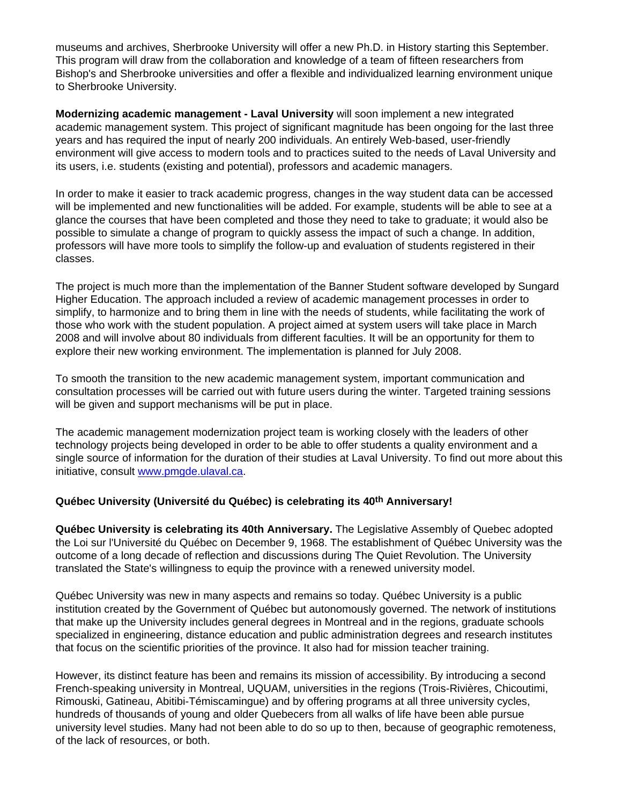museums and archives, Sherbrooke University will offer a new Ph.D. in History starting this September. This program will draw from the collaboration and knowledge of a team of fifteen researchers from Bishop's and Sherbrooke universities and offer a flexible and individualized learning environment unique to Sherbrooke University.

**Modernizing academic management - Laval University** will soon implement a new integrated academic management system. This project of significant magnitude has been ongoing for the last three years and has required the input of nearly 200 individuals. An entirely Web-based, user-friendly environment will give access to modern tools and to practices suited to the needs of Laval University and its users, i.e. students (existing and potential), professors and academic managers.

In order to make it easier to track academic progress, changes in the way student data can be accessed will be implemented and new functionalities will be added. For example, students will be able to see at a glance the courses that have been completed and those they need to take to graduate; it would also be possible to simulate a change of program to quickly assess the impact of such a change. In addition, professors will have more tools to simplify the follow-up and evaluation of students registered in their classes.

The project is much more than the implementation of the Banner Student software developed by Sungard Higher Education. The approach included a review of academic management processes in order to simplify, to harmonize and to bring them in line with the needs of students, while facilitating the work of those who work with the student population. A project aimed at system users will take place in March 2008 and will involve about 80 individuals from different faculties. It will be an opportunity for them to explore their new working environment. The implementation is planned for July 2008.

To smooth the transition to the new academic management system, important communication and consultation processes will be carried out with future users during the winter. Targeted training sessions will be given and support mechanisms will be put in place.

The academic management modernization project team is working closely with the leaders of other technology projects being developed in order to be able to offer students a quality environment and a single source of information for the duration of their studies at Laval University. To find out more about this initiative, consult [www.pmgde.ulaval.ca](http://www.pmgde.ulaval.ca/).

## **Québec University (Université du Québec) is celebrating its 40th Anniversary!**

**Québec University is celebrating its 40th Anniversary.** The Legislative Assembly of Quebec adopted the Loi sur l'Université du Québec on December 9, 1968. The establishment of Québec University was the outcome of a long decade of reflection and discussions during The Quiet Revolution. The University translated the State's willingness to equip the province with a renewed university model.

Québec University was new in many aspects and remains so today. Québec University is a public institution created by the Government of Québec but autonomously governed. The network of institutions that make up the University includes general degrees in Montreal and in the regions, graduate schools specialized in engineering, distance education and public administration degrees and research institutes that focus on the scientific priorities of the province. It also had for mission teacher training.

However, its distinct feature has been and remains its mission of accessibility. By introducing a second French-speaking university in Montreal, UQUAM, universities in the regions (Trois-Rivières, Chicoutimi, Rimouski, Gatineau, Abitibi-Témiscamingue) and by offering programs at all three university cycles, hundreds of thousands of young and older Quebecers from all walks of life have been able pursue university level studies. Many had not been able to do so up to then, because of geographic remoteness, of the lack of resources, or both.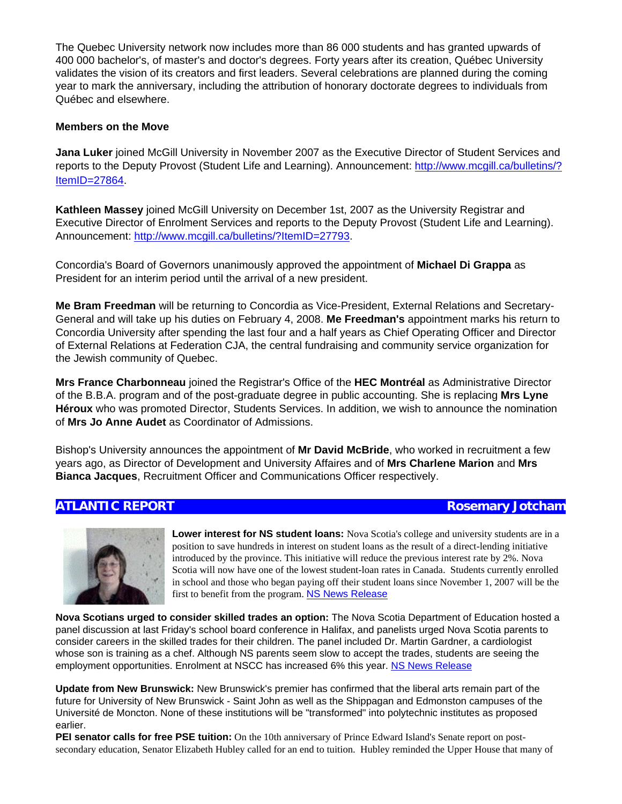The Quebec University network now includes more than 86 000 students and has granted upwards of 400 000 bachelor's, of master's and doctor's degrees. Forty years after its creation, Québec University validates the vision of its creators and first leaders. Several celebrations are planned during the coming year to mark the anniversary, including the attribution of honorary doctorate degrees to individuals from Québec and elsewhere.

### **Members on the Move**

**Jana Luker** joined McGill University in November 2007 as the Executive Director of Student Services and reports to the Deputy Provost (Student Life and Learning). Announcement: [http://www.mcgill.ca/bulletins/?](http://www.mcgill.ca/bulletins/?ItemID=27864) [ItemID=27864.](http://www.mcgill.ca/bulletins/?ItemID=27864)

**Kathleen Massey** joined McGill University on December 1st, 2007 as the University Registrar and Executive Director of Enrolment Services and reports to the Deputy Provost (Student Life and Learning). Announcement:<http://www.mcgill.ca/bulletins/?ItemID=27793>.

Concordia's Board of Governors unanimously approved the appointment of **Michael Di Grappa** as President for an interim period until the arrival of a new president.

**Me Bram Freedman** will be returning to Concordia as Vice-President, External Relations and Secretary-General and will take up his duties on February 4, 2008. **Me Freedman's** appointment marks his return to Concordia University after spending the last four and a half years as Chief Operating Officer and Director of External Relations at Federation CJA, the central fundraising and community service organization for the Jewish community of Quebec.

**Mrs France Charbonneau** joined the Registrar's Office of the **HEC Montréal** as Administrative Director of the B.B.A. program and of the post-graduate degree in public accounting. She is replacing **Mrs Lyne Héroux** who was promoted Director, Students Services. In addition, we wish to announce the nomination of **Mrs Jo Anne Audet** as Coordinator of Admissions.

Bishop's University announces the appointment of **Mr David McBride**, who worked in recruitment a few years ago, as Director of Development and University Affaires and of **Mrs Charlene Marion** and **Mrs Bianca Jacques**, Recruitment Officer and Communications Officer respectively.

**Lower interest for NS student loans:** Nova Scotia's college and university students are in a position to save hundreds in interest on student loans as the result of a direct-lending initiative introduced by the province. This initiative will reduce the previous interest rate by 2%. Nova Scotia will now have one of the lowest student-loan rates in Canada. Students currently enrolled in school and those who began paying off their student loans since November 1, 2007 will be the first to benefit from the program. [NS News Release](http://click.icptrack.com/icp/relay.php?r=1043129962&msgid=30694172&act=4TVX&c=56672&admin=0&destination=http%3A%2F%2Fwww.gov.ns.ca%2Fnews%2Fdetails.asp%3Fid%3D20080129003)

**Nova Scotians urged to consider skilled trades an option:** The Nova Scotia Department of Education hosted a panel discussion at last Friday's school board conference in Halifax, and panelists urged Nova Scotia parents to consider careers in the skilled trades for their children. The panel included Dr. Martin Gardner, a cardiologist whose son is training as a chef. Although NS parents seem slow to accept the trades, students are seeing the employment opportunities. Enrolment at NSCC has increased 6% this year. [NS News Release](http://click.icptrack.com/icp/relay.php?r=1043129962&msgid=30695440&act=4TVX&c=56672&admin=0&destination=http%3A%2F%2Fwww.gov.ns.ca%2Fnews%2Fdetails.asp%3Fid%3D20080131013) 

**Update from New Brunswick:** New Brunswick's premier has confirmed that the liberal arts remain part of the future for University of New Brunswick - Saint John as well as the Shippagan and Edmonston campuses of the Université de Moncton. None of these institutions will be "transformed" into polytechnic institutes as proposed earlier.

**PEI senator calls for free PSE tuition:** On the 10th anniversary of Prince Edward Island's Senate report on postsecondary education, Senator Elizabeth Hubley called for an end to tuition. Hubley reminded the Upper House that many of

## **ATLANTIC REPORT Rosemary Jotcham**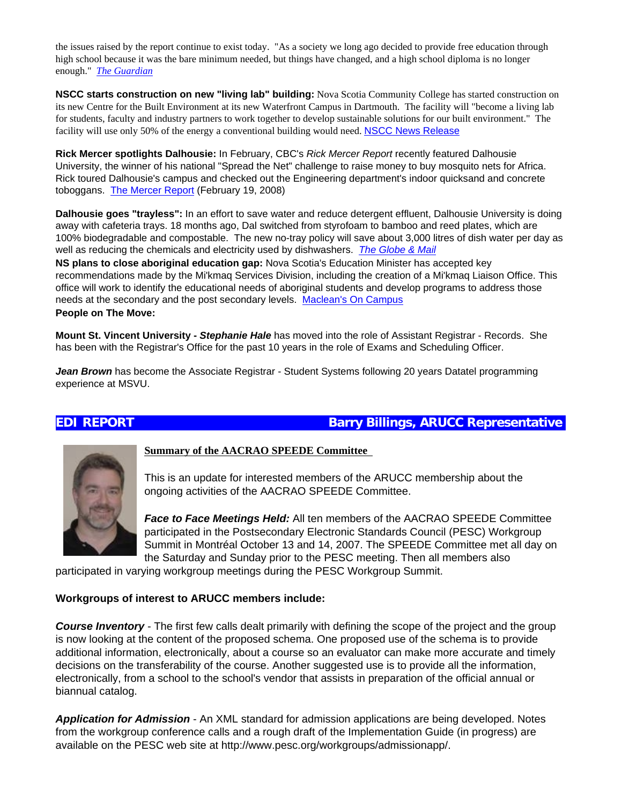the issues raised by the report continue to exist today. "As a society we long ago decided to provide free education through high school because it was the bare minimum needed, but things have changed, and a high school diploma is no longer enough." *[The Guardian](http://click.icptrack.com/icp/relay.php?r=1043129962&msgid=30703205&act=4TVX&c=56672&admin=0&destination=http%3A%2F%2Fwww.theguardian.pe.ca%2Findex.cfm%3Fsid%3D108368%26sc%3D98)*

**NSCC starts construction on new "living lab" building:** Nova Scotia Community College has started construction on its new Centre for the Built Environment at its new Waterfront Campus in Dartmouth. The facility will "become a living lab for students, faculty and industry partners to work together to develop sustainable solutions for our built environment." The facility will use only 50% of the energy a conventional building would need. [NSCC News Release](http://click.icptrack.com/icp/relay.php?r=1043129962&msgid=30707984&act=4TVX&c=56672&admin=0&destination=http%3A%2F%2Fwww.nscc.ca%2FNews_Events%2FMedia%2F2008%2F02-21-08-00.asp)

**Rick Mercer spotlights Dalhousie:** In February, CBC's *Rick Mercer Report* recently featured Dalhousie University, the winner of his national "Spread the Net" challenge to raise money to buy mosquito nets for Africa. Rick toured Dalhousie's campus and checked out the Engineering department's indoor quicksand and concrete toboggans. [The Mercer Report](http://click.icptrack.com/icp/relay.php?r=1043129962&msgid=30706957&act=4TVX&c=56672&admin=0&destination=http%3A%2F%2Fwww.cbc.ca%2Fmercerreport%2Fbackissues.php) (February 19, 2008)

**Dalhousie goes "trayless":** In an effort to save water and reduce detergent effluent, Dalhousie University is doing away with cafeteria trays. 18 months ago, Dal switched from styrofoam to bamboo and reed plates, which are 100% biodegradable and compostable. The new no-tray policy will save about 3,000 litres of dish water per day as well as reducing the chemicals and electricity used by dishwashers. *[The Globe & Mail](http://click.icptrack.com/icp/relay.php?r=1043129962&msgid=30716438&act=4TVX&c=56672&admin=0&destination=http%3A%2F%2Fwww.theglobeandmail.com%2Fservlet%2Fstory%2FRTGAM.20080305.wtrays05%2FBNStory%2FNational%2F)*

**NS plans to close aboriginal education gap:** Nova Scotia's Education Minister has accepted key recommendations made by the Mi'kmaq Services Division, including the creation of a Mi'kmaq Liaison Office. This office will work to identify the educational needs of aboriginal students and develop programs to address those needs at the secondary and the post secondary levels. [Maclean's On Campus](http://click.icptrack.com/icp/relay.php?r=1043129962&msgid=30715023&act=4TVX&c=56672&admin=0&destination=http%3A%2F%2Foncampus.macleans.ca%2Feducation%2F2008%2F02%2F29%2Fnova-scotia-to-close-aboriginal-education-gap%2F) 

**People on The Move:**

**Mount St. Vincent University -** *Stephanie Hale* has moved into the role of Assistant Registrar - Records. She has been with the Registrar's Office for the past 10 years in the role of Exams and Scheduling Officer.

*Jean Brown* has become the Associate Registrar - Student Systems following 20 years Datatel programming experience at MSVU.

## **EDI REPORT Barry Billings, ARUCC Representative**



**Summary of the AACRAO SPEEDE Committee** 

This is an update for interested members of the ARUCC membership about the ongoing activities of the AACRAO SPEEDE Committee.

*Face to Face Meetings Held:* All ten members of the AACRAO SPEEDE Committee participated in the Postsecondary Electronic Standards Council (PESC) Workgroup Summit in Montréal October 13 and 14, 2007. The SPEEDE Committee met all day on the Saturday and Sunday prior to the PESC meeting. Then all members also

participated in varying workgroup meetings during the PESC Workgroup Summit.

## **Workgroups of interest to ARUCC members include:**

*Course Inventory* - The first few calls dealt primarily with defining the scope of the project and the group is now looking at the content of the proposed schema. One proposed use of the schema is to provide additional information, electronically, about a course so an evaluator can make more accurate and timely decisions on the transferability of the course. Another suggested use is to provide all the information, electronically, from a school to the school's vendor that assists in preparation of the official annual or biannual catalog.

*Application for Admission* - An XML standard for admission applications are being developed. Notes from the workgroup conference calls and a rough draft of the Implementation Guide (in progress) are available on the PESC web site at http://www.pesc.org/workgroups/admissionapp/.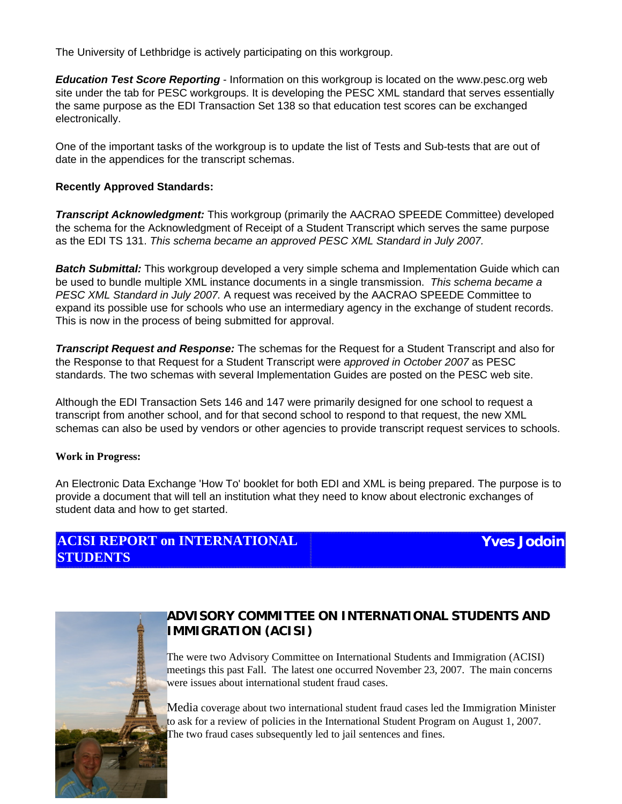The University of Lethbridge is actively participating on this workgroup.

*Education Test Score Reporting* - Information on this workgroup is located on the www.pesc.org web site under the tab for PESC workgroups. It is developing the PESC XML standard that serves essentially the same purpose as the EDI Transaction Set 138 so that education test scores can be exchanged electronically.

One of the important tasks of the workgroup is to update the list of Tests and Sub-tests that are out of date in the appendices for the transcript schemas.

## **Recently Approved Standards:**

*Transcript Acknowledgment:* This workgroup (primarily the AACRAO SPEEDE Committee) developed the schema for the Acknowledgment of Receipt of a Student Transcript which serves the same purpose as the EDI TS 131. *This schema became an approved PESC XML Standard in July 2007.*

**Batch Submittal:** This workgroup developed a very simple schema and Implementation Guide which can be used to bundle multiple XML instance documents in a single transmission. *This schema became a PESC XML Standard in July 2007.* A request was received by the AACRAO SPEEDE Committee to expand its possible use for schools who use an intermediary agency in the exchange of student records. This is now in the process of being submitted for approval.

*Transcript Request and Response:* The schemas for the Request for a Student Transcript and also for the Response to that Request for a Student Transcript were *approved in October 2007* as PESC standards. The two schemas with several Implementation Guides are posted on the PESC web site.

Although the EDI Transaction Sets 146 and 147 were primarily designed for one school to request a transcript from another school, and for that second school to respond to that request, the new XML schemas can also be used by vendors or other agencies to provide transcript request services to schools.

## **Work in Progress:**

An Electronic Data Exchange 'How To' booklet for both EDI and XML is being prepared. The purpose is to provide a document that will tell an institution what they need to know about electronic exchanges of student data and how to get started.

# **ACISI REPORT on INTERNATIONAL STUDENTS**

**Yves Jodoin**



# **ADVISORY COMMITTEE ON INTERNATIONAL STUDENTS AND IMMIGRATION (ACISI)**

The were two Advisory Committee on International Students and Immigration (ACISI) meetings this past Fall. The latest one occurred November 23, 2007. The main concerns were issues about international student fraud cases.

Media coverage about two international student fraud cases led the Immigration Minister to ask for a review of policies in the International Student Program on August 1, 2007. The two fraud cases subsequently led to jail sentences and fines.